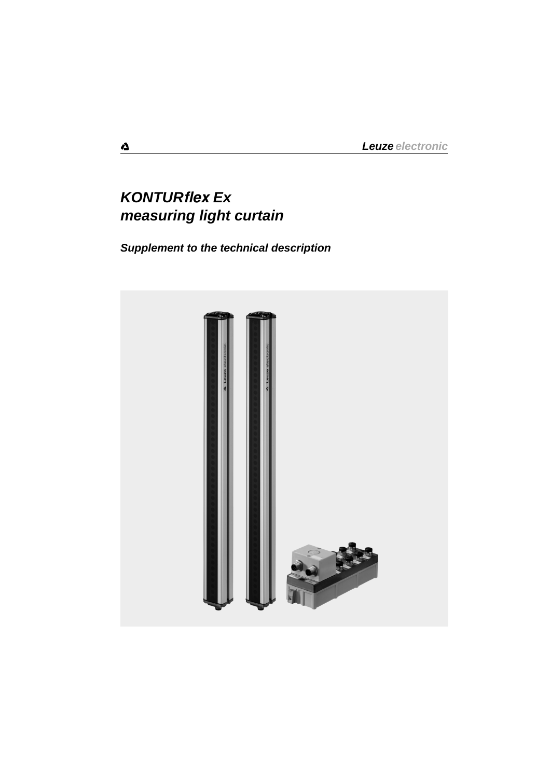# *KONTURflex Ex measuring light curtain*

*Supplement to the technical description*

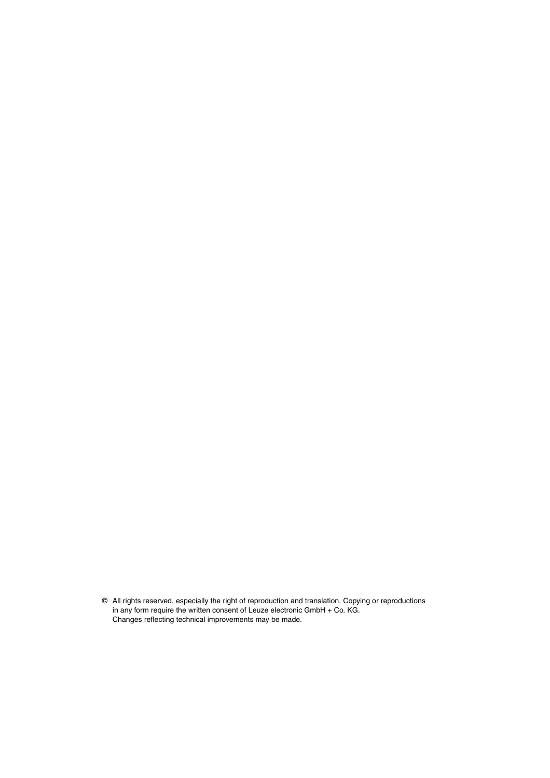© All rights reserved, especially the right of reproduction and translation. Copying or reproductions in any form require the written consent of Leuze electronic GmbH + Co. KG. Changes reflecting technical improvements may be made.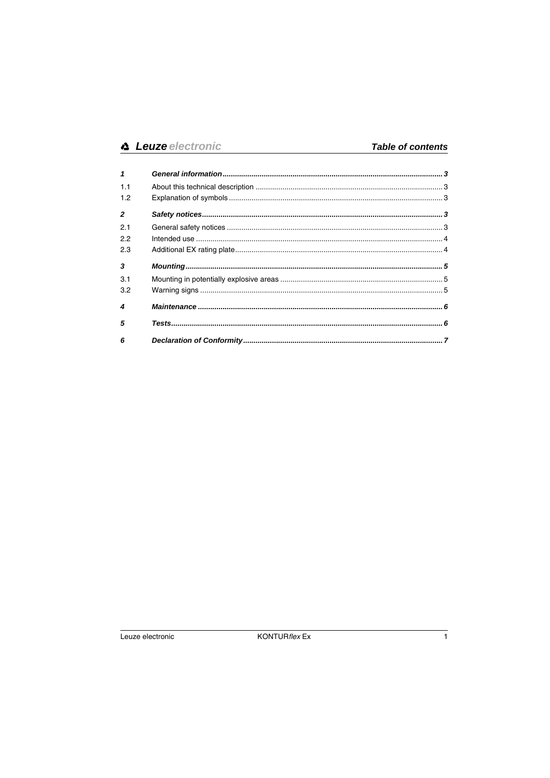| 1              |  |
|----------------|--|
| 1.1            |  |
| 1.2            |  |
| $\overline{2}$ |  |
| 2.1            |  |
| 2.2            |  |
| 2.3            |  |
| $\mathbf{3}$   |  |
| 3.1            |  |
| 3.2            |  |
| 4              |  |
| 5              |  |
| 6              |  |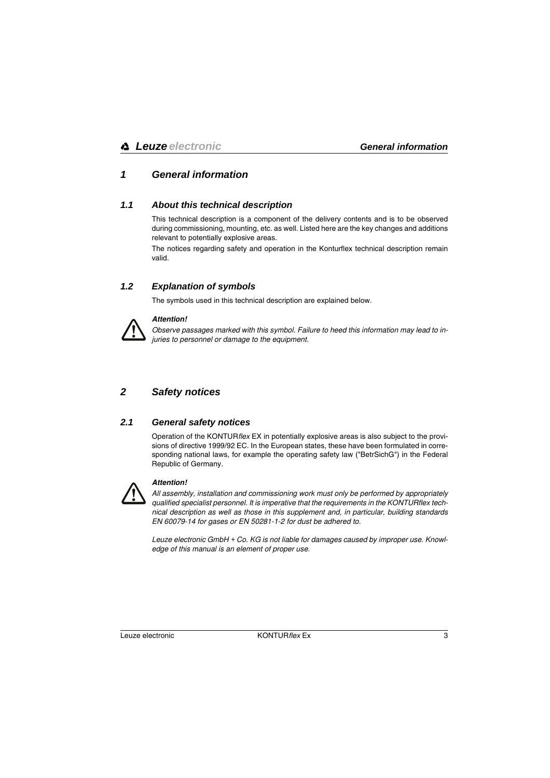## <span id="page-4-0"></span>*1 General information*

### <span id="page-4-1"></span>*1.1 About this technical description*

This technical description is a component of the delivery contents and is to be observed during commissioning, mounting, etc. as well. Listed here are the key changes and additions relevant to potentially explosive areas.

The notices regarding safety and operation in the Konturflex technical description remain valid.

## <span id="page-4-2"></span>*1.2 Explanation of symbols*

The symbols used in this technical description are explained below.



#### *Attention!*

*Observe passages marked with this symbol. Failure to heed this information may lead to injuries to personnel or damage to the equipment.*

## <span id="page-4-3"></span>*2 Safety notices*

## <span id="page-4-4"></span>*2.1 General safety notices*

Operation of the KONTUR*flex* EX in potentially explosive areas is also subject to the provisions of directive 1999/92 EC. In the European states, these have been formulated in corresponding national laws, for example the operating safety law ("BetrSichG") in the Federal Republic of Germany.



#### *Attention!*

*All assembly, installation and commissioning work must only be performed by appropriately qualified specialist personnel. It is imperative that the requirements in the KONTURflex technical description as well as those in this supplement and, in particular, building standards EN 60079-14 for gases or EN 50281-1-2 for dust be adhered to.*

*Leuze electronic GmbH + Co. KG is not liable for damages caused by improper use. Knowledge of this manual is an element of proper use.*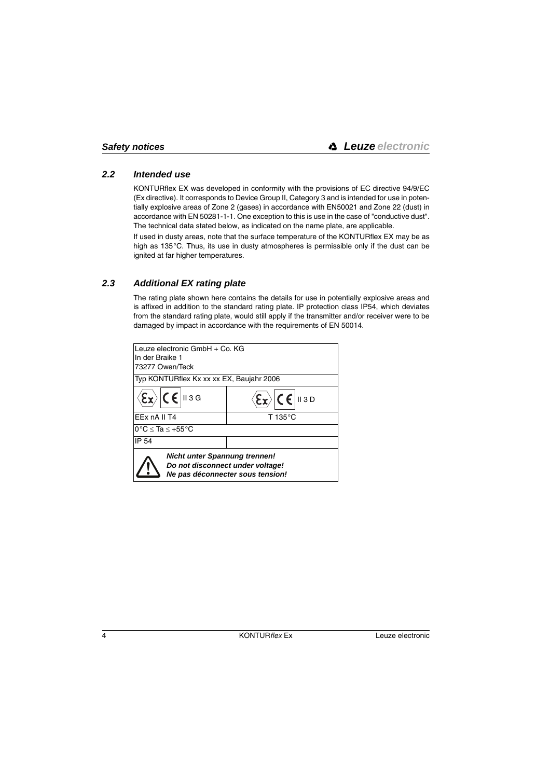## <span id="page-5-0"></span>*2.2 Intended use*

KONTURflex EX was developed in conformity with the provisions of EC directive 94/9/EC (Ex directive). It corresponds to Device Group II, Category 3 and is intended for use in potentially explosive areas of Zone 2 (gases) in accordance with EN50021 and Zone 22 (dust) in accordance with EN 50281-1-1. One exception to this is use in the case of "conductive dust". The technical data stated below, as indicated on the name plate, are applicable.

If used in dusty areas, note that the surface temperature of the KONTURflex EX may be as high as 135°C. Thus, its use in dusty atmospheres is permissible only if the dust can be ignited at far higher temperatures.

## <span id="page-5-1"></span>*2.3 Additional EX rating plate*

The rating plate shown here contains the details for use in potentially explosive areas and is affixed in addition to the standard rating plate. IP protection class IP54, which deviates from the standard rating plate, would still apply if the transmitter and/or receiver were to be damaged by impact in accordance with the requirements of EN 50014.

| Leuze electronic GmbH + Co. KG                                    |                                          |  |  |  |  |
|-------------------------------------------------------------------|------------------------------------------|--|--|--|--|
| In der Braike 1                                                   |                                          |  |  |  |  |
| 73277 Owen/Teck                                                   |                                          |  |  |  |  |
|                                                                   | Typ KONTURflex Kx xx xx EX, Baujahr 2006 |  |  |  |  |
| $C \in \mathbb{R}$   13 G                                         | $C \in \vert$ II 3 D                     |  |  |  |  |
| EEx nA II T4                                                      | T 135°C                                  |  |  |  |  |
| $0^{\circ}$ C $\leq$ Ta $\leq$ +55 $^{\circ}$ C                   |                                          |  |  |  |  |
| <b>IP 54</b>                                                      |                                          |  |  |  |  |
| Nicht unter Spannung trennen!<br>Do not disconnect under voltage! | Ne pas déconnecter sous tension!         |  |  |  |  |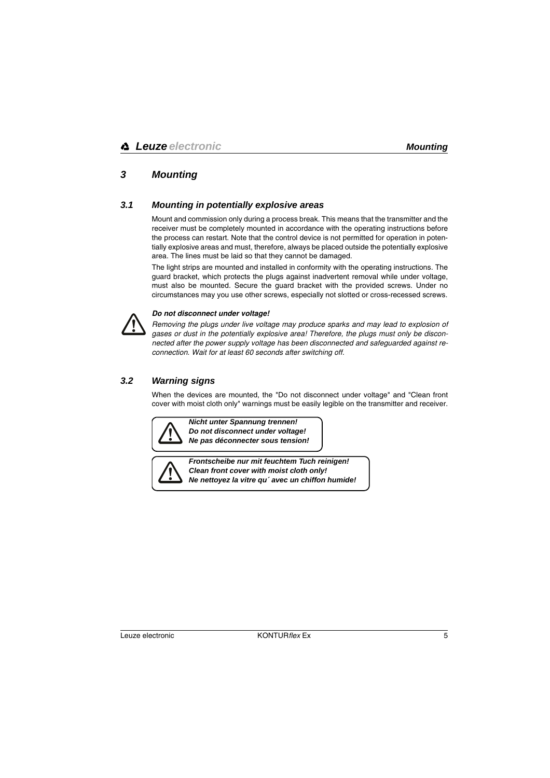## <span id="page-6-0"></span>*3 Mounting*

## <span id="page-6-1"></span>*3.1 Mounting in potentially explosive areas*

Mount and commission only during a process break. This means that the transmitter and the receiver must be completely mounted in accordance with the operating instructions before the process can restart. Note that the control device is not permitted for operation in potentially explosive areas and must, therefore, always be placed outside the potentially explosive area. The lines must be laid so that they cannot be damaged.

The light strips are mounted and installed in conformity with the operating instructions. The guard bracket, which protects the plugs against inadvertent removal while under voltage, must also be mounted. Secure the guard bracket with the provided screws. Under no circumstances may you use other screws, especially not slotted or cross-recessed screws.



#### *Do not disconnect under voltage!*

*Removing the plugs under live voltage may produce sparks and may lead to explosion of gases or dust in the potentially explosive area! Therefore, the plugs must only be disconnected after the power supply voltage has been disconnected and safeguarded against reconnection. Wait for at least 60 seconds after switching off.* 

## <span id="page-6-2"></span>*3.2 Warning signs*

When the devices are mounted, the "Do not disconnect under voltage" and "Clean front cover with moist cloth only" warnings must be easily legible on the transmitter and receiver.



*Nicht unter Spannung trennen! Do not disconnect under voltage! Ne pas déconnecter sous tension!* 



*Frontscheibe nur mit feuchtem Tuch reinigen! Clean front cover with moist cloth only! Ne nettoyez la vitre qu´ avec un chiffon humide!*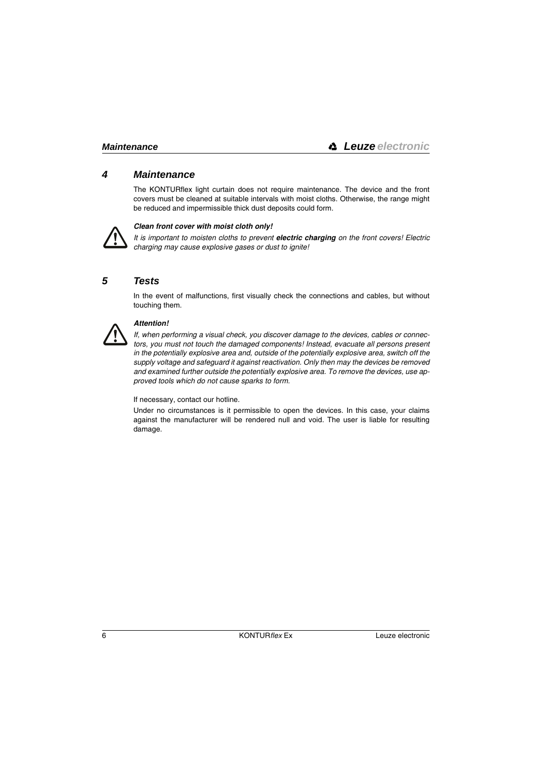## <span id="page-7-0"></span>*4 Maintenance*

The KONTURflex light curtain does not require maintenance. The device and the front covers must be cleaned at suitable intervals with moist cloths. Otherwise, the range might be reduced and impermissible thick dust deposits could form.



#### *Clean front cover with moist cloth only!*

*It is important to moisten cloths to prevent electric charging on the front covers! Electric charging may cause explosive gases or dust to ignite!* 

## <span id="page-7-1"></span>*5 Tests*

In the event of malfunctions, first visually check the connections and cables, but without touching them.



#### *Attention!*

*If, when performing a visual check, you discover damage to the devices, cables or connectors, you must not touch the damaged components! Instead, evacuate all persons present in the potentially explosive area and, outside of the potentially explosive area, switch off the supply voltage and safeguard it against reactivation. Only then may the devices be removed and examined further outside the potentially explosive area. To remove the devices, use approved tools which do not cause sparks to form.*

If necessary, contact our hotline.

Under no circumstances is it permissible to open the devices. In this case, your claims against the manufacturer will be rendered null and void. The user is liable for resulting damage.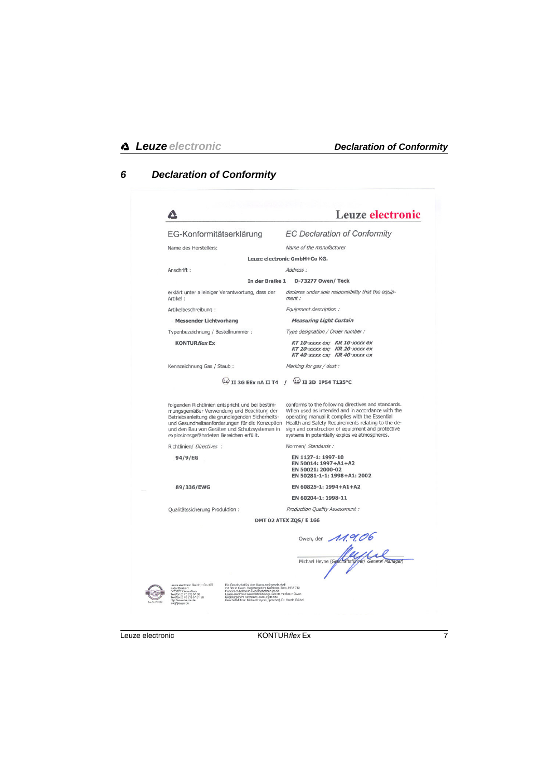#### <span id="page-8-0"></span> $6\phantom{a}$ **Declaration of Conformity**

|                                                                                                                                                  |                                                                                                                                                                                                                                                                                             | <b>Leuze electronic</b>                                                                                                                                                                                                                                                                                                |
|--------------------------------------------------------------------------------------------------------------------------------------------------|---------------------------------------------------------------------------------------------------------------------------------------------------------------------------------------------------------------------------------------------------------------------------------------------|------------------------------------------------------------------------------------------------------------------------------------------------------------------------------------------------------------------------------------------------------------------------------------------------------------------------|
| EG-Konformitätserklärung                                                                                                                         |                                                                                                                                                                                                                                                                                             | <b>EC Declaration of Conformity</b>                                                                                                                                                                                                                                                                                    |
| Name des Herstellers:                                                                                                                            |                                                                                                                                                                                                                                                                                             | Name of the manufacturer                                                                                                                                                                                                                                                                                               |
|                                                                                                                                                  |                                                                                                                                                                                                                                                                                             | Leuze electronic GmbH+Co KG.                                                                                                                                                                                                                                                                                           |
| Anschrift:                                                                                                                                       |                                                                                                                                                                                                                                                                                             | Address:                                                                                                                                                                                                                                                                                                               |
|                                                                                                                                                  | In der Braike 1                                                                                                                                                                                                                                                                             | D-73277 Owen/ Teck                                                                                                                                                                                                                                                                                                     |
| Artikel:                                                                                                                                         | erklärt unter alleiniger Verantwortung, dass der                                                                                                                                                                                                                                            | declares under sole responsibility that the equip-<br>ment :                                                                                                                                                                                                                                                           |
| Artikelbeschreibung:                                                                                                                             |                                                                                                                                                                                                                                                                                             | Equipment description:                                                                                                                                                                                                                                                                                                 |
| <b>Messender Lichtvorhang</b>                                                                                                                    |                                                                                                                                                                                                                                                                                             | <b>Measuring Light Curtain</b>                                                                                                                                                                                                                                                                                         |
| Typenbezeichnung / Bestellnummer:                                                                                                                |                                                                                                                                                                                                                                                                                             | Type designation / Order number :                                                                                                                                                                                                                                                                                      |
| <b>KONTUR flex Ex</b>                                                                                                                            |                                                                                                                                                                                                                                                                                             | KT 10-XXXX ex; KR 10-XXXX ex<br>KT 20-XXXX ex; KR 20-XXXX ex<br>KT 40-xxxx ex; KR 40-xxxx ex                                                                                                                                                                                                                           |
| Kennzeichnung Gas / Staub:                                                                                                                       |                                                                                                                                                                                                                                                                                             | Marking for gas / dust :                                                                                                                                                                                                                                                                                               |
|                                                                                                                                                  |                                                                                                                                                                                                                                                                                             | $\langle x \rangle$ II 3G EEX NA II T4 / $\langle x \rangle$ II 3D IP54 T135°C                                                                                                                                                                                                                                         |
| explosionsgefährdeten Bereichen erfüllt.                                                                                                         | folgenden Richtlinien entspricht und bei bestim-<br>mungsgemäßer Verwendung und Beachtung der<br>Betriebsanleitung die grundlegenden Sicherheits-<br>und Gesundheitsanforderungen für die Konzeption<br>und den Bau von Geräten und Schutzsystemen in                                       | conforms to the following directives and standards.<br>When used as intended and in accordance with the<br>operating manual it complies with the Essential<br>Health and Safety Requirements relating to the de-<br>sign and construction of equipment and protective<br>systems in potentially explosive atmospheres. |
| Richtlinien/ Directives :                                                                                                                        |                                                                                                                                                                                                                                                                                             | Normen/ Standards :                                                                                                                                                                                                                                                                                                    |
| 94/9/EG                                                                                                                                          |                                                                                                                                                                                                                                                                                             | EN 1127-1: 1997-10<br>EN 50014: 1997+A1+A2<br>EN 50021: 2000-02<br>EN 50281-1-1: 1998+A1: 2002                                                                                                                                                                                                                         |
| 89/336/EWG                                                                                                                                       |                                                                                                                                                                                                                                                                                             | EN 60825-1: 1994+A1+A2                                                                                                                                                                                                                                                                                                 |
|                                                                                                                                                  |                                                                                                                                                                                                                                                                                             | EN 60204-1: 1998-11                                                                                                                                                                                                                                                                                                    |
| Oualitätssicherung Produktion:                                                                                                                   |                                                                                                                                                                                                                                                                                             | Production Quality Assessment :                                                                                                                                                                                                                                                                                        |
|                                                                                                                                                  |                                                                                                                                                                                                                                                                                             | DMT 02 ATEX ZQS/ E 166                                                                                                                                                                                                                                                                                                 |
|                                                                                                                                                  |                                                                                                                                                                                                                                                                                             | Owen, den 11.9.06                                                                                                                                                                                                                                                                                                      |
|                                                                                                                                                  |                                                                                                                                                                                                                                                                                             |                                                                                                                                                                                                                                                                                                                        |
|                                                                                                                                                  |                                                                                                                                                                                                                                                                                             | Michael Heyne (Goschaftsführer/ General Manager)                                                                                                                                                                                                                                                                       |
|                                                                                                                                                  |                                                                                                                                                                                                                                                                                             |                                                                                                                                                                                                                                                                                                                        |
| Leuze electronic GmbH + Co. KG<br>buse Braike 1<br>In der Braike 1<br>D-73277 Owen-Teck<br>Telefax (0 70 21) 57 30<br>Telefax (0 70 21) 57 31 99 | Die Geselschaft ist eine Kommandtgesellschaft<br>ure uneventurates enter numitandigesetescham<br>Imit Sitz in Owen. Registergericht Kirchheim-Teck, HRA 712<br>Pessänitch haltende Gesetlachsterin ist de<br>Registergericht Krichheim-Teck, HRB 550<br>Geschäftsführer: Michael Heyne (Spr |                                                                                                                                                                                                                                                                                                                        |